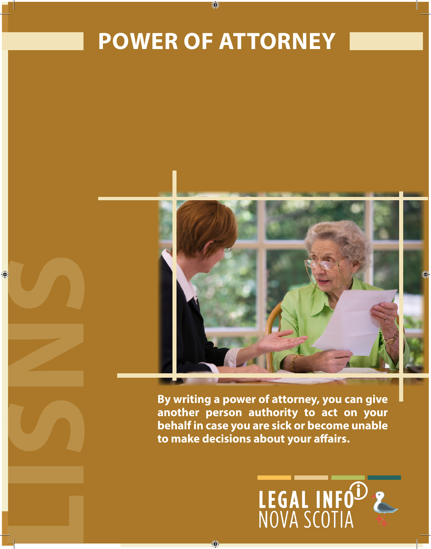# POWER OF ATTORNEY **POWER OF ATTORNEY**

♦



**another person authority to act on your behalf in case you are sick or become unable to make decisions about your affairs.**

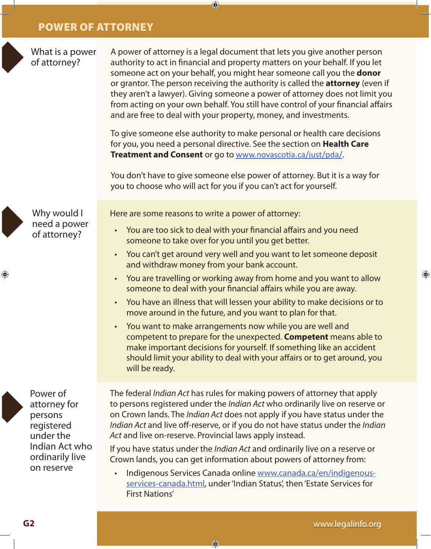What is a power of attorney?



A power of attorney is a legal document that lets you give another person authority to act in financial and property matters on your behalf. If you let someone act on your behalf, you might hear someone call you the **donor** or grantor. The person receiving the authority is called the **attorney** (even if they aren't a lawyer). Giving someone a power of attorney does not limit you from acting on your own behalf. You still have control of your financial affairs and are free to deal with your property, money, and investments.

 $\bigcirc$ 

To give someone else authority to make personal or health care decisions for you, you need a personal directive. See the section on **Health Care Treatment and Consent** or go to www.novascotia.ca/just/pda/.

You don't have to give someone else power of attorney. But it is a way for you to choose who will act for you if you can't act for yourself.



⊕

Why would I need a power of attorney?

Here are some reasons to write a power of attorney:

- You are too sick to deal with your financial affairs and you need someone to take over for you until you get better.
- You can't get around very well and you want to let someone deposit and withdraw money from your bank account.
- You are travelling or working away from home and you want to allow someone to deal with your financial affairs while you are away.
- You have an illness that will lessen your ability to make decisions or to move around in the future, and you want to plan for that.
- You want to make arrangements now while you are well and competent to prepare for the unexpected. **Competent** means able to make important decisions for yourself. If something like an accident should limit your ability to deal with your affairs or to get around, you will be ready.

Power of attorney for persons registered under the Indian Act who ordinarily live on reserve

The federal *Indian Act* has rules for making powers of attorney that apply to persons registered under the *Indian Act* who ordinarily live on reserve or on Crown lands. The *Indian Act* does not apply if you have status under the *Indian Act* and live off-reserve, or if you do not have status under the *Indian Act* and live on-reserve. Provincial laws apply instead.

If you have status under the *Indian Act* and ordinarily live on a reserve or Crown lands, you can get information about powers of attorney from:

• Indigenous Services Canada online www.canada.ca/en/indigenousservices-canada.html, under 'Indian Status', then 'Estate Services for First Nations'

 $\bigcirc$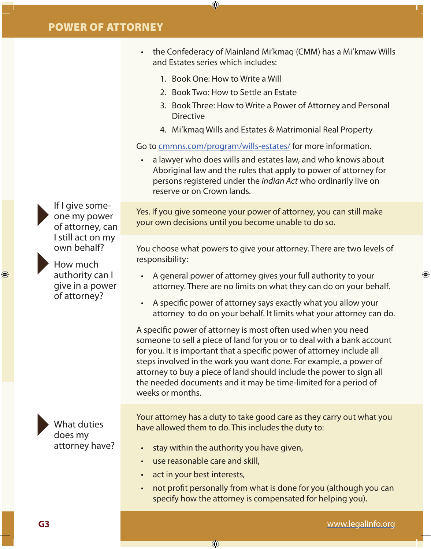- the Confederacy of Mainland Mi'kmaq (CMM) has a Mi'kmaw Wills and Estates series which includes:
	- 1. Book One: How to Write a Will

⊕

- 2. Book Two: How to Settle an Estate
- 3. Book Three: How to Write a Power of Attorney and Personal **Directive**
- 4. Mi'kmaq Wills and Estates & Matrimonial Real Property

Go to cmmns.com/program/wills-estates/ for more information.

• a lawyer who does wills and estates law, and who knows about Aboriginal law and the rules that apply to power of attorney for persons registered under the *Indian Act* who ordinarily live on reserve or on Crown lands.

Yes. If you give someone your power of attorney, you can still make your own decisions until you become unable to do so.

You choose what powers to give your attorney. There are two levels of responsibility:

- A general power of attorney gives your full authority to your attorney. There are no limits on what they can do on your behalf.
- A specific power of attorney says exactly what you allow your attorney to do on your behalf. It limits what your attorney can do.

A specific power of attorney is most often used when you need someone to sell a piece of land for you or to deal with a bank account for you. It is important that a specific power of attorney include all steps involved in the work you want done. For example, a power of attorney to buy a piece of land should include the power to sign all the needed documents and it may be time-limited for a period of weeks or months.

Your attorney has a duty to take good care as they carry out what you have allowed them to do. This includes the duty to:

• stay within the authority you have given,

 $\bigoplus$ 

- use reasonable care and skill,
- act in your best interests,
- not profit personally from what is done for you (although you can specify how the attorney is compensated for helping you).

If I give someone my power of attorney, can I still act on my own behalf?

How much authority can I give in a power of attorney?

◈



www.legalinfo.org

⊕

**G3**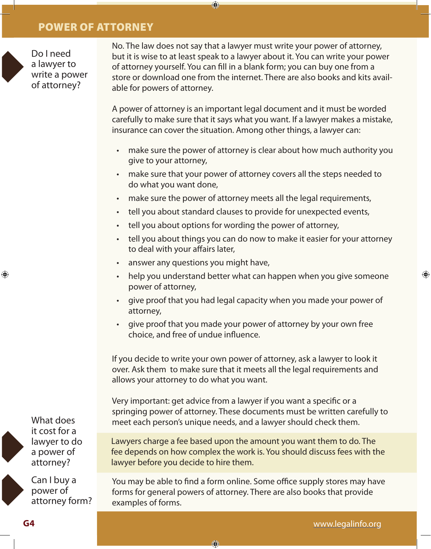Do I need a lawyer to write a power of attorney?

No. The law does not say that a lawyer must write your power of attorney, but it is wise to at least speak to a lawyer about it. You can write your power of attorney yourself. You can fill in a blank form; you can buy one from a store or download one from the internet. There are also books and kits available for powers of attorney.

 $\bigcirc$ 

A power of attorney is an important legal document and it must be worded carefully to make sure that it says what you want. If a lawyer makes a mistake, insurance can cover the situation. Among other things, a lawyer can:

- make sure the power of attorney is clear about how much authority you give to your attorney,
- make sure that your power of attorney covers all the steps needed to do what you want done,
- make sure the power of attorney meets all the legal requirements,
- tell you about standard clauses to provide for unexpected events,
- tell you about options for wording the power of attorney,
- tell you about things you can do now to make it easier for your attorney to deal with your affairs later,
- answer any questions you might have,
- help you understand better what can happen when you give someone power of attorney,
- give proof that you had legal capacity when you made your power of attorney,
- give proof that you made your power of attorney by your own free choice, and free of undue influence.

If you decide to write your own power of attorney, ask a lawyer to look it over. Ask them to make sure that it meets all the legal requirements and allows your attorney to do what you want.

Very important: get advice from a lawyer if you want a specific or a springing power of attorney. These documents must be written carefully to meet each person's unique needs, and a lawyer should check them.

Lawyers charge a fee based upon the amount you want them to do. The fee depends on how complex the work is. You should discuss fees with the lawyer before you decide to hire them.

You may be able to find a form online. Some office supply stores may have forms for general powers of attorney. There are also books that provide examples of forms.

 $\bigcirc$ 

What does it cost for a lawyer to do a power of attorney?

Can I buy a power of attorney form? ⊕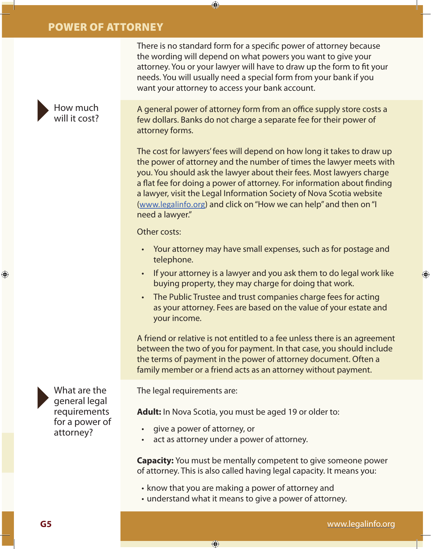How much will it cost? There is no standard form for a specific power of attorney because the wording will depend on what powers you want to give your attorney. You or your lawyer will have to draw up the form to fit your needs. You will usually need a special form from your bank if you want your attorney to access your bank account.

⊕

A general power of attorney form from an office supply store costs a few dollars. Banks do not charge a separate fee for their power of attorney forms.

The cost for lawyers' fees will depend on how long it takes to draw up the power of attorney and the number of times the lawyer meets with you. You should ask the lawyer about their fees. Most lawyers charge a flat fee for doing a power of attorney. For information about finding a lawyer, visit the Legal Information Society of Nova Scotia website (www.legalinfo.org) and click on "How we can help" and then on "I need a lawyer."

Other costs:

- Your attorney may have small expenses, such as for postage and telephone.
- If your attorney is a lawyer and you ask them to do legal work like buying property, they may charge for doing that work.
- The Public Trustee and trust companies charge fees for acting as your attorney. Fees are based on the value of your estate and your income.

A friend or relative is not entitled to a fee unless there is an agreement between the two of you for payment. In that case, you should include the terms of payment in the power of attorney document. Often a family member or a friend acts as an attorney without payment.

The legal requirements are:

**Adult:** In Nova Scotia, you must be aged 19 or older to:

- give a power of attorney, or
- act as attorney under a power of attorney.

⊕

**Capacity:** You must be mentally competent to give someone power of attorney. This is also called having legal capacity. It means you:

- know that you are making a power of attorney and
- understand what it means to give a power of attorney.

What are the general legal requirements for a power of attorney?

⊕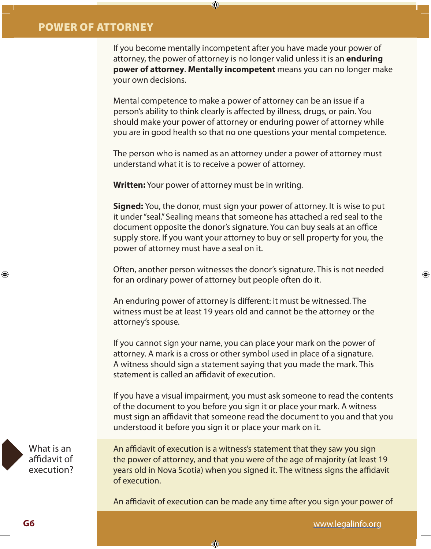If you become mentally incompetent after you have made your power of attorney, the power of attorney is no longer valid unless it is an **enduring power of attorney**. **Mentally incompetent** means you can no longer make your own decisions.

Mental competence to make a power of attorney can be an issue if a person's ability to think clearly is affected by illness, drugs, or pain. You should make your power of attorney or enduring power of attorney while you are in good health so that no one questions your mental competence.

The person who is named as an attorney under a power of attorney must understand what it is to receive a power of attorney.

**Written:** Your power of attorney must be in writing.

 $\bigcirc$ 

**Signed:** You, the donor, must sign your power of attorney. It is wise to put it under "seal." Sealing means that someone has attached a red seal to the document opposite the donor's signature. You can buy seals at an office supply store. If you want your attorney to buy or sell property for you, the power of attorney must have a seal on it.

Often, another person witnesses the donor's signature. This is not needed for an ordinary power of attorney but people often do it.

An enduring power of attorney is different: it must be witnessed. The witness must be at least 19 years old and cannot be the attorney or the attorney's spouse.

If you cannot sign your name, you can place your mark on the power of attorney. A mark is a cross or other symbol used in place of a signature. A witness should sign a statement saying that you made the mark. This statement is called an affidavit of execution.

If you have a visual impairment, you must ask someone to read the contents of the document to you before you sign it or place your mark. A witness must sign an affidavit that someone read the document to you and that you understood it before you sign it or place your mark on it.

What is an affidavit of execution?

An affidavit of execution is a witness's statement that they saw you sign the power of attorney, and that you were of the age of majority (at least 19 years old in Nova Scotia) when you signed it. The witness signs the affidavit of execution.

An affidavit of execution can be made any time after you sign your power of

€

www.legalinfo.org

♠

♠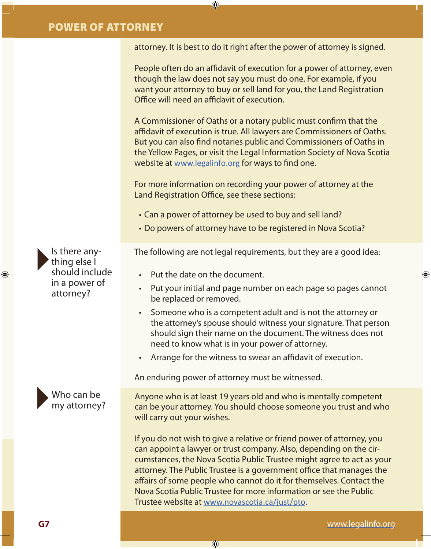attorney. It is best to do it right after the power of attorney is signed.

⊕

People often do an affidavit of execution for a power of attorney, even though the law does not say you must do one. For example, if you want your attorney to buy or sell land for you, the Land Registration Office will need an affidavit of execution.

A Commissioner of Oaths or a notary public must confirm that the affidavit of execution is true. All lawyers are Commissioners of Oaths. But you can also find notaries public and Commissioners of Oaths in the Yellow Pages, or visit the Legal Information Society of Nova Scotia website at www.legalinfo.org for ways to find one.

For more information on recording your power of attorney at the Land Registration Office, see these sections:

- Can a power of attorney be used to buy and sell land?
- Do powers of attorney have to be registered in Nova Scotia?

The following are not legal requirements, but they are a good idea:

- Put the date on the document.
- Put your initial and page number on each page so pages cannot be replaced or removed.
- Someone who is a competent adult and is not the attorney or the attorney's spouse should witness your signature. That person should sign their name on the document. The witness does not need to know what is in your power of attorney.
- Arrange for the witness to swear an affidavit of execution.

An enduring power of attorney must be witnessed.

⊕

Anyone who is at least 19 years old and who is mentally competent can be your attorney. You should choose someone you trust and who will carry out your wishes.

If you do not wish to give a relative or friend power of attorney, you can appoint a lawyer or trust company. Also, depending on the circumstances, the Nova Scotia Public Trustee might agree to act as your attorney. The Public Trustee is a government office that manages the affairs of some people who cannot do it for themselves. Contact the Nova Scotia Public Trustee for more information or see the Public Trustee website at www.novascotia.ca/just/pto.

Is there anything else I should include in a power of attorney?

⊕

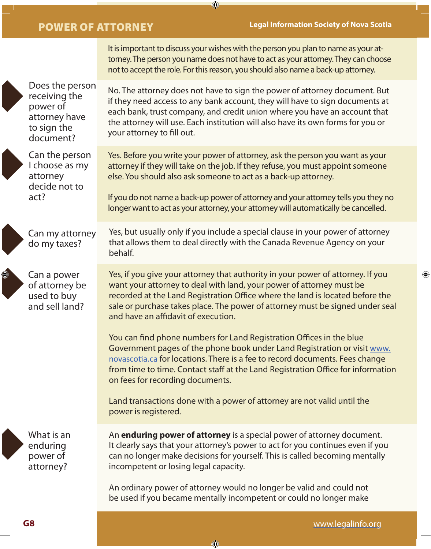It is important to discuss your wishes with the person you plan to name as your at-

 $\bigoplus$ 



O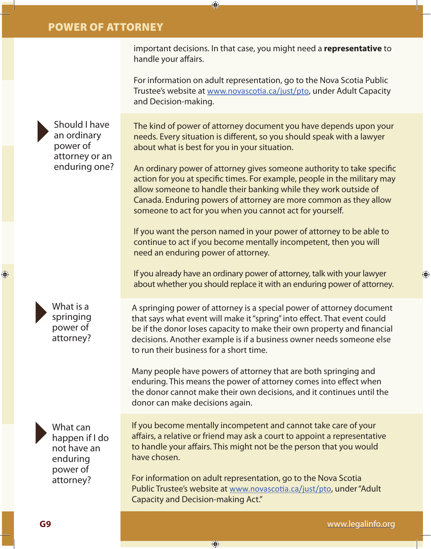important decisions. In that case, you might need a **representative** to handle your affairs.

⊕

For information on adult representation, go to the Nova Scotia Public Trustee's website at www.novascotia.ca/just/pto, under Adult Capacity and Decision-making.

Should I have an ordinary power of attorney or an enduring one?

The kind of power of attorney document you have depends upon your needs. Every situation is different, so you should speak with a lawyer about what is best for you in your situation.

An ordinary power of attorney gives someone authority to take specific action for you at specific times. For example, people in the military may allow someone to handle their banking while they work outside of Canada. Enduring powers of attorney are more common as they allow someone to act for you when you cannot act for yourself.

If you want the person named in your power of attorney to be able to continue to act if you become mentally incompetent, then you will need an enduring power of attorney.

If you already have an ordinary power of attorney, talk with your lawyer about whether you should replace it with an enduring power of attorney.

A springing power of attorney is a special power of attorney document that says what event will make it "spring" into effect. That event could be if the donor loses capacity to make their own property and financial decisions. Another example is if a business owner needs someone else to run their business for a short time.

Many people have powers of attorney that are both springing and enduring. This means the power of attorney comes into effect when the donor cannot make their own decisions, and it continues until the donor can make decisions again.

What can happen if I do not have an enduring power of attorney?

What is a springing power of attorney?

> If you become mentally incompetent and cannot take care of your affairs, a relative or friend may ask a court to appoint a representative to handle your affairs. This might not be the person that you would have chosen.

For information on adult representation, go to the Nova Scotia Public Trustee's website at www.novascotia.ca/just/pto, under "Adult Capacity and Decision-making Act."

⊕

⊕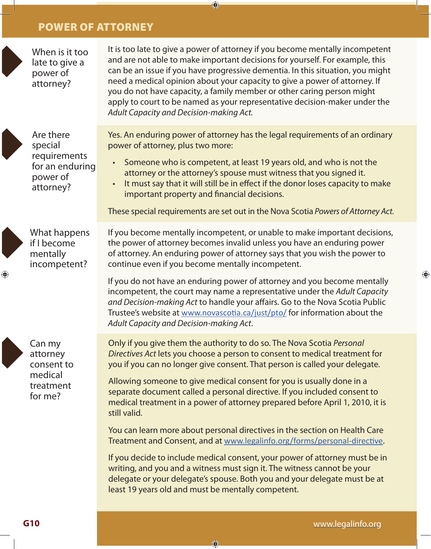When is it too late to give a It is too late to give a power of attorney if you become mentally incompetent and are not able to make important decisions for yourself. For example, this can be an issue if you have progressive dementia. In this situation, you might need a medical opinion about your capacity to give a power of attorney. If you do not have capacity, a family member or other caring person might apply to court to be named as your representative decision-maker under the *Adult Capacity and Decision-making Act.*

 $\bigcirc$ 



- Someone who is competent, at least 19 years old, and who is not the attorney or the attorney's spouse must witness that you signed it.
	- It must say that it will still be in effect if the donor loses capacity to make important property and financial decisions.

These special requirements are set out in the Nova Scotia *Powers of Attorney Act.*

⊕

What happens if I become mentally incompetent?

Are there special

power of attorney?

power of attorney?

requirements for an enduring

Can my attorney consent to medical treatment for me?

If you become mentally incompetent, or unable to make important decisions, the power of attorney becomes invalid unless you have an enduring power of attorney. An enduring power of attorney says that you wish the power to continue even if you become mentally incompetent.

If you do not have an enduring power of attorney and you become mentally incompetent, the court may name a representative under the *Adult Capacity and Decision-making Act* to handle your affairs. Go to the Nova Scotia Public Trustee's website at www.novascotia.ca/just/pto/ for information about the *Adult Capacity and Decision-making Act*.

Only if you give them the authority to do so. The Nova Scotia *Personal Directives Act* lets you choose a person to consent to medical treatment for you if you can no longer give consent. That person is called your delegate.

Allowing someone to give medical consent for you is usually done in a separate document called a personal directive. If you included consent to medical treatment in a power of attorney prepared before April 1, 2010, it is still valid.

You can learn more about personal directives in the section on Health Care Treatment and Consent, and at www.legalinfo.org/forms/personal-directive.

If you decide to include medical consent, your power of attorney must be in writing, and you and a witness must sign it. The witness cannot be your delegate or your delegate's spouse. Both you and your delegate must be at least 19 years old and must be mentally competent.

€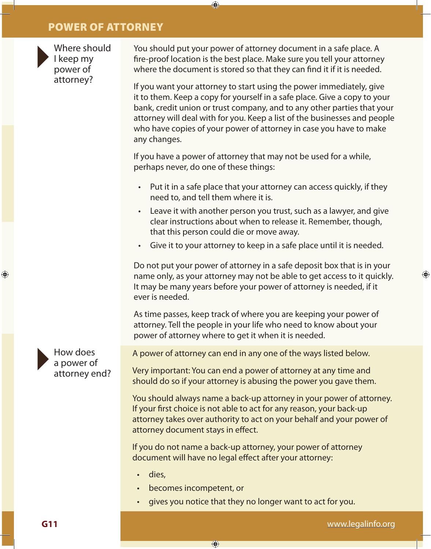

Where should I keep my power of attorney?

You should put your power of attorney document in a safe place. A fire-proof location is the best place. Make sure you tell your attorney where the document is stored so that they can find it if it is needed.

⊕

If you want your attorney to start using the power immediately, give it to them. Keep a copy for yourself in a safe place. Give a copy to your bank, credit union or trust company, and to any other parties that your attorney will deal with for you. Keep a list of the businesses and people who have copies of your power of attorney in case you have to make any changes.

If you have a power of attorney that may not be used for a while, perhaps never, do one of these things:

- Put it in a safe place that your attorney can access quickly, if they need to, and tell them where it is.
- Leave it with another person you trust, such as a lawyer, and give clear instructions about when to release it. Remember, though, that this person could die or move away.
- Give it to your attorney to keep in a safe place until it is needed.

Do not put your power of attorney in a safe deposit box that is in your name only, as your attorney may not be able to get access to it quickly. It may be many years before your power of attorney is needed, if it ever is needed.

As time passes, keep track of where you are keeping your power of attorney. Tell the people in your life who need to know about your power of attorney where to get it when it is needed.

A power of attorney can end in any one of the ways listed below.

Very important: You can end a power of attorney at any time and should do so if your attorney is abusing the power you gave them.

You should always name a back-up attorney in your power of attorney. If your first choice is not able to act for any reason, your back-up attorney takes over authority to act on your behalf and your power of attorney document stays in effect.

If you do not name a back-up attorney, your power of attorney document will have no legal effect after your attorney:

- dies,
- becomes incompetent, or

⊕

• gives you notice that they no longer want to act for you.



⊕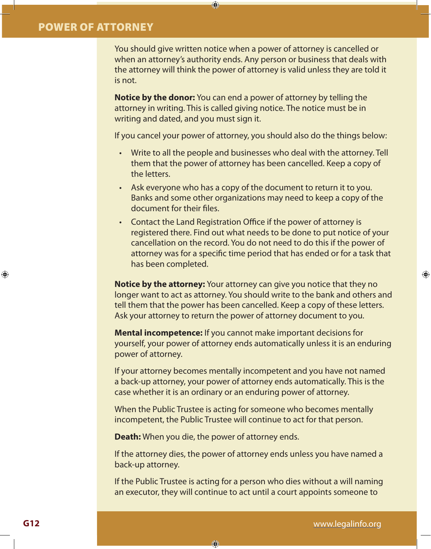You should give written notice when a power of attorney is cancelled or when an attorney's authority ends. Any person or business that deals with the attorney will think the power of attorney is valid unless they are told it is not.

**Notice by the donor:** You can end a power of attorney by telling the attorney in writing. This is called giving notice. The notice must be in writing and dated, and you must sign it.

 $\bigcirc$ 

If you cancel your power of attorney, you should also do the things below:

- Write to all the people and businesses who deal with the attorney. Tell them that the power of attorney has been cancelled. Keep a copy of the letters.
- Ask everyone who has a copy of the document to return it to you. Banks and some other organizations may need to keep a copy of the document for their files.
- Contact the Land Registration Office if the power of attorney is registered there. Find out what needs to be done to put notice of your cancellation on the record. You do not need to do this if the power of attorney was for a specific time period that has ended or for a task that has been completed.

**Notice by the attorney:** Your attorney can give you notice that they no longer want to act as attorney. You should write to the bank and others and tell them that the power has been cancelled. Keep a copy of these letters. Ask your attorney to return the power of attorney document to you.

**Mental incompetence:** If you cannot make important decisions for yourself, your power of attorney ends automatically unless it is an enduring power of attorney.

If your attorney becomes mentally incompetent and you have not named a back-up attorney, your power of attorney ends automatically. This is the case whether it is an ordinary or an enduring power of attorney.

When the Public Trustee is acting for someone who becomes mentally incompetent, the Public Trustee will continue to act for that person.

**Death:** When you die, the power of attorney ends.

 $\bigcirc$ 

If the attorney dies, the power of attorney ends unless you have named a back-up attorney.

If the Public Trustee is acting for a person who dies without a will naming an executor, they will continue to act until a court appoints someone to

⊕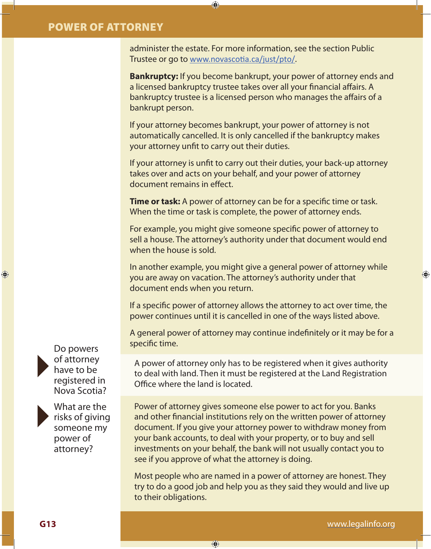administer the estate. For more information, see the section Public Trustee or go to www.novascotia.ca/just/pto/.

⊕

**Bankruptcy:** If you become bankrupt, your power of attorney ends and a licensed bankruptcy trustee takes over all your financial affairs. A bankruptcy trustee is a licensed person who manages the affairs of a bankrupt person.

If your attorney becomes bankrupt, your power of attorney is not automatically cancelled. It is only cancelled if the bankruptcy makes your attorney unfit to carry out their duties.

If your attorney is unfit to carry out their duties, your back-up attorney takes over and acts on your behalf, and your power of attorney document remains in effect.

**Time or task:** A power of attorney can be for a specific time or task. When the time or task is complete, the power of attorney ends.

For example, you might give someone specific power of attorney to sell a house. The attorney's authority under that document would end when the house is sold.

In another example, you might give a general power of attorney while you are away on vacation. The attorney's authority under that document ends when you return.

If a specific power of attorney allows the attorney to act over time, the power continues until it is cancelled in one of the ways listed above.

A general power of attorney may continue indefinitely or it may be for a Do powers specific time.

of attorney have to be registered in

◈



What are the risks of giving someone my power of attorney?

Nova Scotia?

A power of attorney only has to be registered when it gives authority to deal with land. Then it must be registered at the Land Registration Office where the land is located.

Power of attorney gives someone else power to act for you. Banks and other financial institutions rely on the written power of attorney document. If you give your attorney power to withdraw money from your bank accounts, to deal with your property, or to buy and sell investments on your behalf, the bank will not usually contact you to see if you approve of what the attorney is doing.

Most people who are named in a power of attorney are honest. They try to do a good job and help you as they said they would and live up to their obligations.

⊕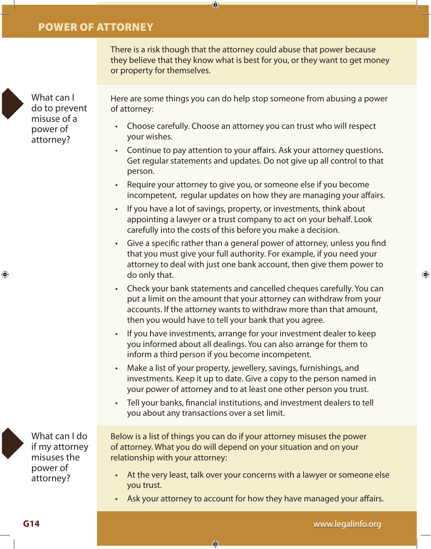There is a risk though that the attorney could abuse that power because they believe that they know what is best for you, or they want to get money or property for themselves.

 $\bigcirc$ 

What can I do to prevent misuse of a power of attorney?

Here are some things you can do help stop someone from abusing a power of attorney:

- Choose carefully. Choose an attorney you can trust who will respect your wishes.
- Continue to pay attention to your affairs. Ask your attorney questions. Get regular statements and updates. Do not give up all control to that person.
- Require your attorney to give you, or someone else if you become incompetent, regular updates on how they are managing your affairs.
- If you have a lot of savings, property, or investments, think about appointing a lawyer or a trust company to act on your behalf. Look carefully into the costs of this before you make a decision.
- Give a specific rather than a general power of attorney, unless you find that you must give your full authority. For example, if you need your attorney to deal with just one bank account, then give them power to do only that.
- Check your bank statements and cancelled cheques carefully. You can put a limit on the amount that your attorney can withdraw from your accounts. If the attorney wants to withdraw more than that amount, then you would have to tell your bank that you agree.
- If you have investments, arrange for your investment dealer to keep you informed about all dealings. You can also arrange for them to inform a third person if you become incompetent.
- Make a list of your property, jewellery, savings, furnishings, and investments. Keep it up to date. Give a copy to the person named in your power of attorney and to at least one other person you trust.
- Tell your banks, financial institutions, and investment dealers to tell you about any transactions over a set limit.

Below is a list of things you can do if your attorney misuses the power of attorney. What you do will depend on your situation and on your relationship with your attorney:

- At the very least, talk over your concerns with a lawyer or someone else you trust.
- Ask your attorney to account for how they have managed your affairs.

€



⊕

What can I do if my attorney misuses the power of attorney?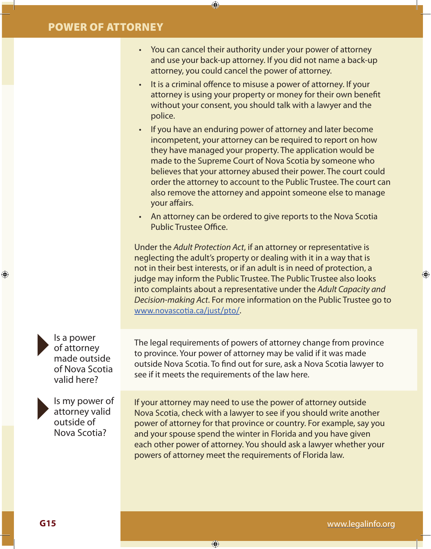• You can cancel their authority under your power of attorney and use your back-up attorney. If you did not name a back-up attorney, you could cancel the power of attorney.

⊕

- It is a criminal offence to misuse a power of attorney. If your attorney is using your property or money for their own benefit without your consent, you should talk with a lawyer and the police.
- If you have an enduring power of attorney and later become incompetent, your attorney can be required to report on how they have managed your property. The application would be made to the Supreme Court of Nova Scotia by someone who believes that your attorney abused their power. The court could order the attorney to account to the Public Trustee. The court can also remove the attorney and appoint someone else to manage your affairs.
- An attorney can be ordered to give reports to the Nova Scotia Public Trustee Office.

Under the *Adult Protection Act*, if an attorney or representative is neglecting the adult's property or dealing with it in a way that is not in their best interests, or if an adult is in need of protection, a judge may inform the Public Trustee. The Public Trustee also looks into complaints about a representative under the *Adult Capacity and Decision-making Act*. For more information on the Public Trustee go to www.novascotia.ca/just/pto/.

The legal requirements of powers of attorney change from province to province. Your power of attorney may be valid if it was made outside Nova Scotia. To find out for sure, ask a Nova Scotia lawyer to see if it meets the requirements of the law here.

If your attorney may need to use the power of attorney outside Nova Scotia, check with a lawyer to see if you should write another power of attorney for that province or country. For example, say you and your spouse spend the winter in Florida and you have given each other power of attorney. You should ask a lawyer whether your powers of attorney meet the requirements of Florida law.

 $\bigoplus$ 

Is a power of attorney made outside of Nova Scotia valid here?

Is my power of attorney valid outside of Nova Scotia?

♠

**G15**